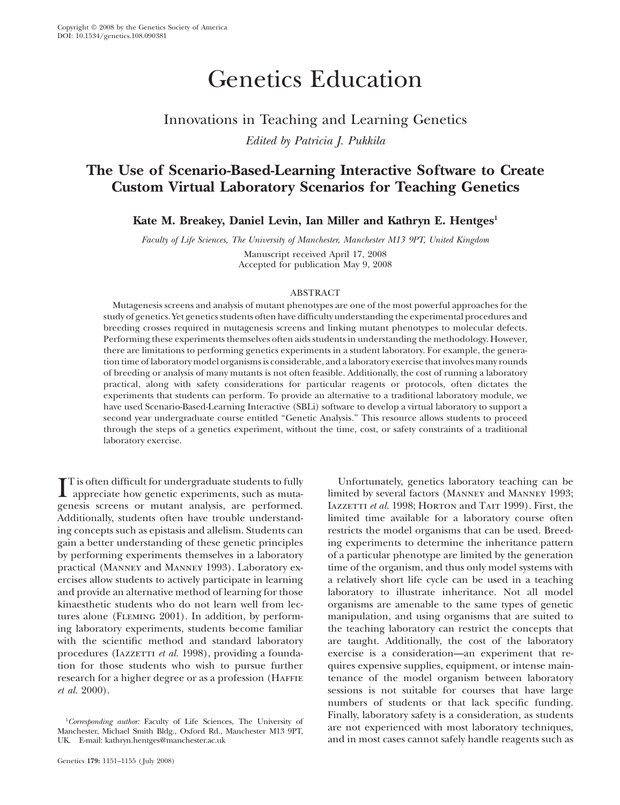# Genetics Education

Innovations in Teaching and Learning Genetics Edited by Patricia J. Pukkila

## The Use of Scenario-Based-Learning Interactive Software to Create Custom Virtual Laboratory Scenarios for Teaching Genetics

Kate M. Breakey, Daniel Levin, Ian Miller and Kathryn E. Hentges<sup>1</sup>

Faculty of Life Sciences, The University of Manchester, Manchester M13 9PT, United Kingdom Manuscript received April 17, 2008

Accepted for publication May 9, 2008

### ABSTRACT

Mutagenesis screens and analysis of mutant phenotypes are one of the most powerful approaches for the study of genetics. Yet genetics students often have difficulty understanding the experimental procedures and breeding crosses required in mutagenesis screens and linking mutant phenotypes to molecular defects. Performing these experiments themselves often aids students in understanding the methodology. However, there are limitations to performing genetics experiments in a student laboratory. For example, the generation time of laboratory model organisms is considerable, and a laboratory exercise that involves many rounds of breeding or analysis of many mutants is not often feasible. Additionally, the cost of running a laboratory practical, along with safety considerations for particular reagents or protocols, often dictates the experiments that students can perform. To provide an alternative to a traditional laboratory module, we have used Scenario-Based-Learning Interactive (SBLi) software to develop a virtual laboratory to support a second year undergraduate course entitled ''Genetic Analysis.'' This resource allows students to proceed through the steps of a genetics experiment, without the time, cost, or safety constraints of a traditional laboratory exercise.

I is often difficult for undergraduate students to fully appreciate how genetic experiments, such as mutagenesis screens or mutant analysis, are performed. T is often difficult for undergraduate students to fully appreciate how genetic experiments, such as muta-Additionally, students often have trouble understanding concepts such as epistasis and allelism. Students can gain a better understanding of these genetic principles by performing experiments themselves in a laboratory practical (Manney and Manney 1993). Laboratory exercises allow students to actively participate in learning and provide an alternative method of learning for those kinaesthetic students who do not learn well from lectures alone (Fleming 2001). In addition, by performing laboratory experiments, students become familiar with the scientific method and standard laboratory procedures (IAZZETTI et al. 1998), providing a foundation for those students who wish to pursue further research for a higher degree or as a profession (HAFFIE et al. 2000).

Genetics 179: 1151–1155 ( July 2008)

Unfortunately, genetics laboratory teaching can be limited by several factors (Manney and Manney 1993; IAZZETTI et al. 1998; HORTON and TAIT 1999). First, the limited time available for a laboratory course often restricts the model organisms that can be used. Breeding experiments to determine the inheritance pattern of a particular phenotype are limited by the generation time of the organism, and thus only model systems with a relatively short life cycle can be used in a teaching laboratory to illustrate inheritance. Not all model organisms are amenable to the same types of genetic manipulation, and using organisms that are suited to the teaching laboratory can restrict the concepts that are taught. Additionally, the cost of the laboratory exercise is a consideration—an experiment that requires expensive supplies, equipment, or intense maintenance of the model organism between laboratory sessions is not suitable for courses that have large numbers of students or that lack specific funding. Finally, laboratory safety is a consideration, as students are not experienced with most laboratory techniques, and in most cases cannot safely handle reagents such as

<sup>&</sup>lt;sup>1</sup>Corresponding author: Faculty of Life Sciences, The University of Manchester, Michael Smith Bldg., Oxford Rd., Manchester M13 9PT, UK. E-mail: kathryn.hentges@manchester.ac.uk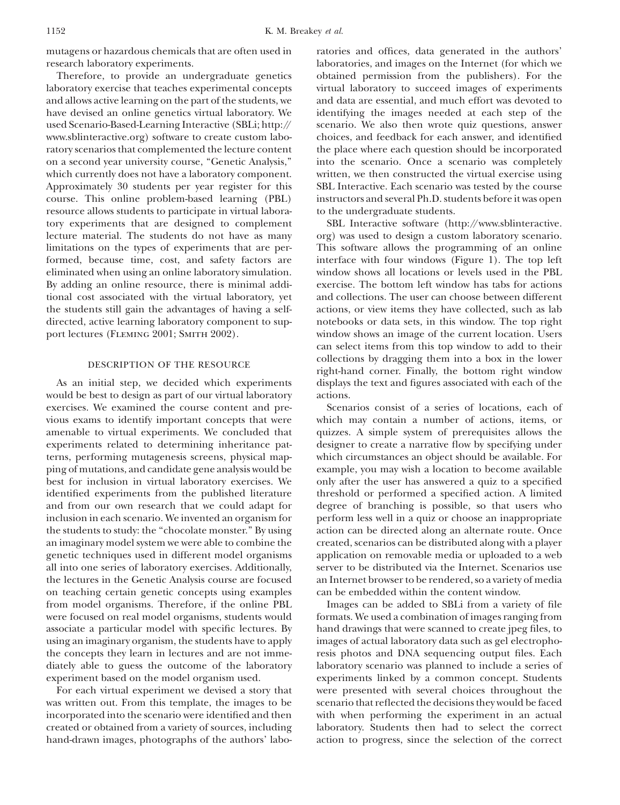mutagens or hazardous chemicals that are often used in research laboratory experiments.

Therefore, to provide an undergraduate genetics laboratory exercise that teaches experimental concepts and allows active learning on the part of the students, we have devised an online genetics virtual laboratory. We used Scenario-Based-Learning Interactive (SBLi; http:// www.sblinteractive.org) software to create custom laboratory scenarios that complemented the lecture content on a second year university course, ''Genetic Analysis,'' which currently does not have a laboratory component. Approximately 30 students per year register for this course. This online problem-based learning (PBL) resource allows students to participate in virtual laboratory experiments that are designed to complement lecture material. The students do not have as many limitations on the types of experiments that are performed, because time, cost, and safety factors are eliminated when using an online laboratory simulation. By adding an online resource, there is minimal additional cost associated with the virtual laboratory, yet the students still gain the advantages of having a selfdirected, active learning laboratory component to support lectures (FLEMING 2001; SMITH 2002).

#### DESCRIPTION OF THE RESOURCE

As an initial step, we decided which experiments would be best to design as part of our virtual laboratory exercises. We examined the course content and previous exams to identify important concepts that were amenable to virtual experiments. We concluded that experiments related to determining inheritance patterns, performing mutagenesis screens, physical mapping of mutations, and candidate gene analysis would be best for inclusion in virtual laboratory exercises. We identified experiments from the published literature and from our own research that we could adapt for inclusion in each scenario. We invented an organism for the students to study: the ''chocolate monster.'' By using an imaginary model system we were able to combine the genetic techniques used in different model organisms all into one series of laboratory exercises. Additionally, the lectures in the Genetic Analysis course are focused on teaching certain genetic concepts using examples from model organisms. Therefore, if the online PBL were focused on real model organisms, students would associate a particular model with specific lectures. By using an imaginary organism, the students have to apply the concepts they learn in lectures and are not immediately able to guess the outcome of the laboratory experiment based on the model organism used.

For each virtual experiment we devised a story that was written out. From this template, the images to be incorporated into the scenario were identified and then created or obtained from a variety of sources, including hand-drawn images, photographs of the authors' laboratories and offices, data generated in the authors' laboratories, and images on the Internet (for which we obtained permission from the publishers). For the virtual laboratory to succeed images of experiments and data are essential, and much effort was devoted to identifying the images needed at each step of the scenario. We also then wrote quiz questions, answer choices, and feedback for each answer, and identified the place where each question should be incorporated into the scenario. Once a scenario was completely written, we then constructed the virtual exercise using SBL Interactive. Each scenario was tested by the course instructors and several Ph.D. students before it was open to the undergraduate students.

SBL Interactive software (http://www.sblinteractive. org) was used to design a custom laboratory scenario. This software allows the programming of an online interface with four windows (Figure 1). The top left window shows all locations or levels used in the PBL exercise. The bottom left window has tabs for actions and collections. The user can choose between different actions, or view items they have collected, such as lab notebooks or data sets, in this window. The top right window shows an image of the current location. Users can select items from this top window to add to their collections by dragging them into a box in the lower right-hand corner. Finally, the bottom right window displays the text and figures associated with each of the actions.

Scenarios consist of a series of locations, each of which may contain a number of actions, items, or quizzes. A simple system of prerequisites allows the designer to create a narrative flow by specifying under which circumstances an object should be available. For example, you may wish a location to become available only after the user has answered a quiz to a specified threshold or performed a specified action. A limited degree of branching is possible, so that users who perform less well in a quiz or choose an inappropriate action can be directed along an alternate route. Once created, scenarios can be distributed along with a player application on removable media or uploaded to a web server to be distributed via the Internet. Scenarios use an Internet browser to be rendered, so a variety of media can be embedded within the content window.

Images can be added to SBLi from a variety of file formats. We used a combination of images ranging from hand drawings that were scanned to create jpeg files, to images of actual laboratory data such as gel electrophoresis photos and DNA sequencing output files. Each laboratory scenario was planned to include a series of experiments linked by a common concept. Students were presented with several choices throughout the scenario that reflected the decisions they would be faced with when performing the experiment in an actual laboratory. Students then had to select the correct action to progress, since the selection of the correct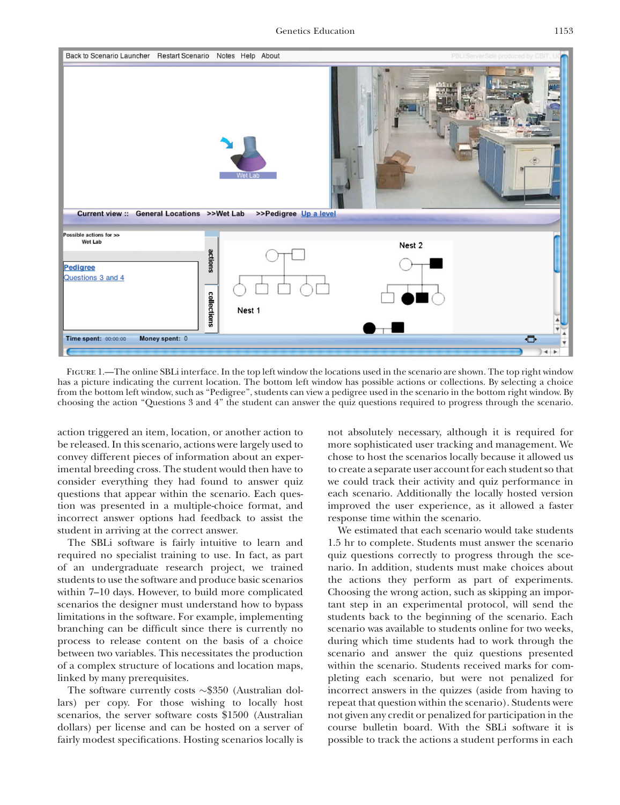#### Genetics Education 1153



FIGURE 1.—The online SBLi interface. In the top left window the locations used in the scenario are shown. The top right window has a picture indicating the current location. The bottom left window has possible actions or collections. By selecting a choice from the bottom left window, such as ''Pedigree'', students can view a pedigree used in the scenario in the bottom right window. By choosing the action ''Questions 3 and 4'' the student can answer the quiz questions required to progress through the scenario.

action triggered an item, location, or another action to be released. In this scenario, actions were largely used to convey different pieces of information about an experimental breeding cross. The student would then have to consider everything they had found to answer quiz questions that appear within the scenario. Each question was presented in a multiple-choice format, and incorrect answer options had feedback to assist the student in arriving at the correct answer.

The SBLi software is fairly intuitive to learn and required no specialist training to use. In fact, as part of an undergraduate research project, we trained students to use the software and produce basic scenarios within 7–10 days. However, to build more complicated scenarios the designer must understand how to bypass limitations in the software. For example, implementing branching can be difficult since there is currently no process to release content on the basis of a choice between two variables. This necessitates the production of a complex structure of locations and location maps, linked by many prerequisites.

The software currently costs  $\sim$ \$350 (Australian dollars) per copy. For those wishing to locally host scenarios, the server software costs \$1500 (Australian dollars) per license and can be hosted on a server of fairly modest specifications. Hosting scenarios locally is

not absolutely necessary, although it is required for more sophisticated user tracking and management. We chose to host the scenarios locally because it allowed us to create a separate user account for each student so that we could track their activity and quiz performance in each scenario. Additionally the locally hosted version improved the user experience, as it allowed a faster response time within the scenario.

We estimated that each scenario would take students 1.5 hr to complete. Students must answer the scenario quiz questions correctly to progress through the scenario. In addition, students must make choices about the actions they perform as part of experiments. Choosing the wrong action, such as skipping an important step in an experimental protocol, will send the students back to the beginning of the scenario. Each scenario was available to students online for two weeks, during which time students had to work through the scenario and answer the quiz questions presented within the scenario. Students received marks for completing each scenario, but were not penalized for incorrect answers in the quizzes (aside from having to repeat that question within the scenario). Students were not given any credit or penalized for participation in the course bulletin board. With the SBLi software it is possible to track the actions a student performs in each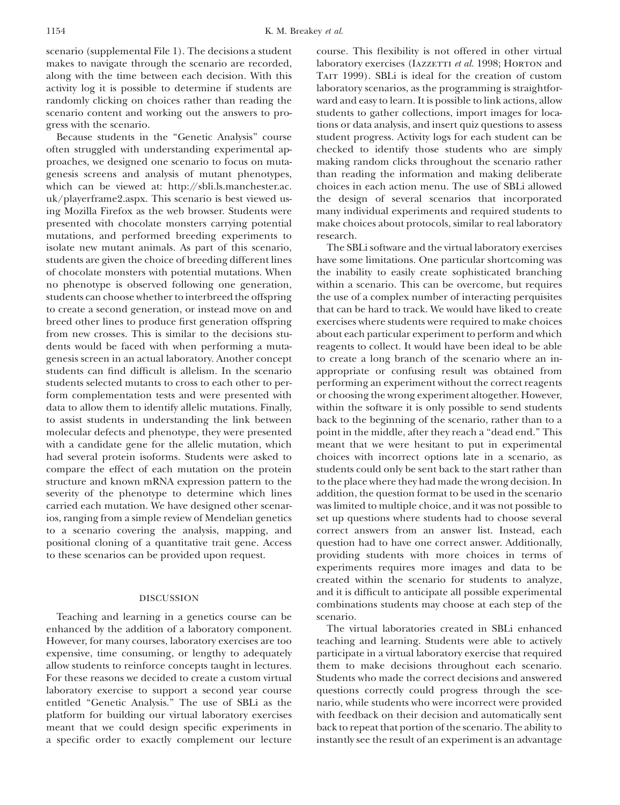scenario (supplemental File 1). The decisions a student makes to navigate through the scenario are recorded, along with the time between each decision. With this activity log it is possible to determine if students are randomly clicking on choices rather than reading the scenario content and working out the answers to progress with the scenario.

Because students in the ''Genetic Analysis'' course often struggled with understanding experimental approaches, we designed one scenario to focus on mutagenesis screens and analysis of mutant phenotypes, which can be viewed at: http://sbli.ls.manchester.ac. uk/playerframe2.aspx. This scenario is best viewed using Mozilla Firefox as the web browser. Students were presented with chocolate monsters carrying potential mutations, and performed breeding experiments to isolate new mutant animals. As part of this scenario, students are given the choice of breeding different lines of chocolate monsters with potential mutations. When no phenotype is observed following one generation, students can choose whether to interbreed the offspring to create a second generation, or instead move on and breed other lines to produce first generation offspring from new crosses. This is similar to the decisions students would be faced with when performing a mutagenesis screen in an actual laboratory. Another concept students can find difficult is allelism. In the scenario students selected mutants to cross to each other to perform complementation tests and were presented with data to allow them to identify allelic mutations. Finally, to assist students in understanding the link between molecular defects and phenotype, they were presented with a candidate gene for the allelic mutation, which had several protein isoforms. Students were asked to compare the effect of each mutation on the protein structure and known mRNA expression pattern to the severity of the phenotype to determine which lines carried each mutation. We have designed other scenarios, ranging from a simple review of Mendelian genetics to a scenario covering the analysis, mapping, and positional cloning of a quantitative trait gene. Access to these scenarios can be provided upon request.

#### DISCUSSION

Teaching and learning in a genetics course can be enhanced by the addition of a laboratory component. However, for many courses, laboratory exercises are too expensive, time consuming, or lengthy to adequately allow students to reinforce concepts taught in lectures. For these reasons we decided to create a custom virtual laboratory exercise to support a second year course entitled ''Genetic Analysis.'' The use of SBLi as the platform for building our virtual laboratory exercises meant that we could design specific experiments in a specific order to exactly complement our lecture course. This flexibility is not offered in other virtual laboratory exercises (IAZZETTI et al. 1998; HORTON and TAIT 1999). SBLi is ideal for the creation of custom laboratory scenarios, as the programming is straightforward and easy to learn. It is possible to link actions, allow students to gather collections, import images for locations or data analysis, and insert quiz questions to assess student progress. Activity logs for each student can be checked to identify those students who are simply making random clicks throughout the scenario rather than reading the information and making deliberate choices in each action menu. The use of SBLi allowed the design of several scenarios that incorporated many individual experiments and required students to make choices about protocols, similar to real laboratory research.

The SBLi software and the virtual laboratory exercises have some limitations. One particular shortcoming was the inability to easily create sophisticated branching within a scenario. This can be overcome, but requires the use of a complex number of interacting perquisites that can be hard to track. We would have liked to create exercises where students were required to make choices about each particular experiment to perform and which reagents to collect. It would have been ideal to be able to create a long branch of the scenario where an inappropriate or confusing result was obtained from performing an experiment without the correct reagents or choosing the wrong experiment altogether. However, within the software it is only possible to send students back to the beginning of the scenario, rather than to a point in the middle, after they reach a "dead end." This meant that we were hesitant to put in experimental choices with incorrect options late in a scenario, as students could only be sent back to the start rather than to the place where they had made the wrong decision. In addition, the question format to be used in the scenario was limited to multiple choice, and it was not possible to set up questions where students had to choose several correct answers from an answer list. Instead, each question had to have one correct answer. Additionally, providing students with more choices in terms of experiments requires more images and data to be created within the scenario for students to analyze, and it is difficult to anticipate all possible experimental combinations students may choose at each step of the scenario.

The virtual laboratories created in SBLi enhanced teaching and learning. Students were able to actively participate in a virtual laboratory exercise that required them to make decisions throughout each scenario. Students who made the correct decisions and answered questions correctly could progress through the scenario, while students who were incorrect were provided with feedback on their decision and automatically sent back to repeat that portion of the scenario. The ability to instantly see the result of an experiment is an advantage